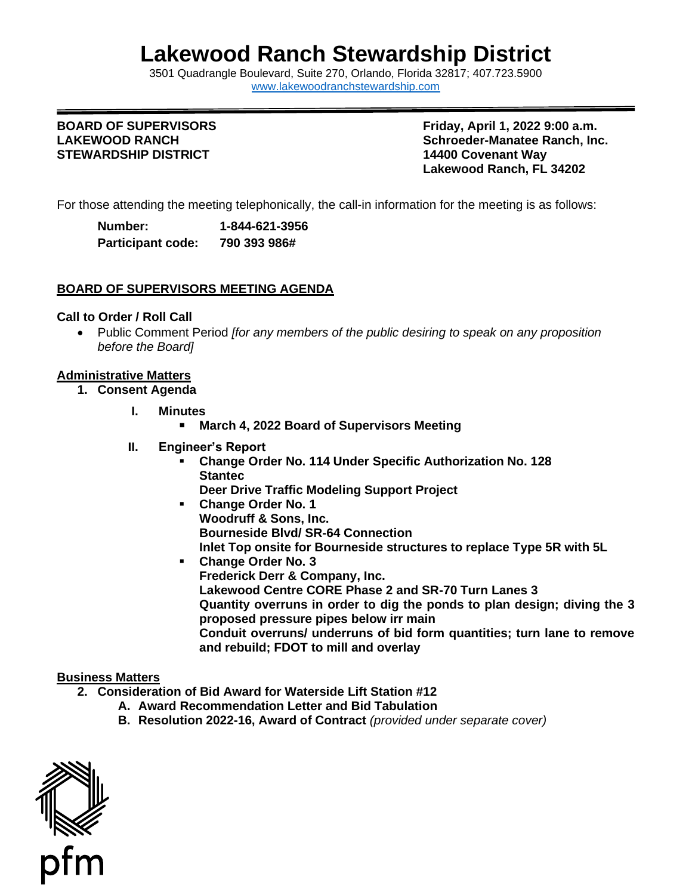# **Lakewood Ranch Stewardship District**

3501 Quadrangle B[oulevard, Suite 270, Orlando, Florida 32](http://www.lakewoodranchstewardship.com/)817; 407.723.5900 [www.lakewoodranchstewardship.com](http://www.lakewoodranchstewardship.com/) 

# **BOARD OF SUPERVISORS STEWARDSHIP DISTRICT 14400 Covenant Way**

 **Lakewood Ranch, FL 34202 BOARD OF SUPERVISORS Friday, April 1, 2022 9:00 a.m.**  LAKEWOOD RANCH **Schroeder-Manatee Ranch, Inc.** Schroeder-Manatee Ranch, Inc.

For those attending the meeting telephonically, the call-in information for the meeting is as follows:

| Number:                  | 1-844-621-3956 |
|--------------------------|----------------|
| <b>Participant code:</b> | 790 393 986#   |

# **BOARD OF SUPERVISORS MEETING AGENDA**

## **Call to Order / Roll Call**

 • Public Comment Period *[for any members of the public desiring to speak on any proposition before the Board]* 

# **Administrative Matters**

- **1. Consent Agenda** 
	- **I. Minutes** 
		- March 4, 2022 Board of Supervisors Meeting
	- **II. Engineer's Report**
		- **Change Order No. 114 Under Specific Authorization No. 128 Deer Drive Traffic Modeling Support Project Stantec**
		- **Woodruff & Sons, Inc. Bourneside Blvd/ SR-64 Connection Inlet Top onsite for Bourneside structures to replace Type 5R with 5L**  ▪ **Change Order No. 1**
		- **Frederick Derr & Company, Inc. Lakewood Centre CORE Phase 2 and SR-70 Turn Lanes 3 Quantity overruns in order to dig the ponds to plan design; diving the 3 proposed pressure pipes below irr main Conduit overruns/ underruns of bid form quantities; turn lane to remove and rebuild; FDOT to mill and overlay**  ▪ **Change Order No. 3**

#### **Business Matters**

- **2. Consideration of Bid Award for Waterside Lift Station #12** 
	- **A. Award Recommendation Letter and Bid Tabulation**
	- **B. Resolution 2022-16, Award of Contract** *(provided under separate cover)*